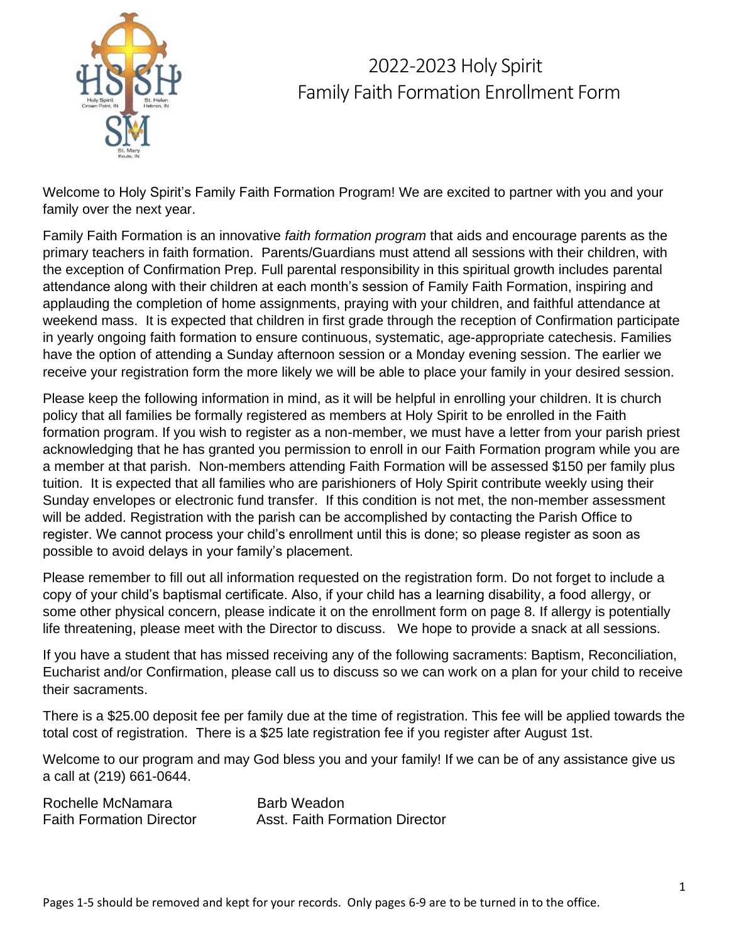

### 2022-2023 Holy Spirit Family Faith Formation Enrollment Form

Welcome to Holy Spirit's Family Faith Formation Program! We are excited to partner with you and your family over the next year.

Family Faith Formation is an innovative *faith formation program* that aids and encourage parents as the primary teachers in faith formation. Parents/Guardians must attend all sessions with their children, with the exception of Confirmation Prep. Full parental responsibility in this spiritual growth includes parental attendance along with their children at each month's session of Family Faith Formation, inspiring and applauding the completion of home assignments, praying with your children, and faithful attendance at weekend mass. It is expected that children in first grade through the reception of Confirmation participate in yearly ongoing faith formation to ensure continuous, systematic, age-appropriate catechesis. Families have the option of attending a Sunday afternoon session or a Monday evening session. The earlier we receive your registration form the more likely we will be able to place your family in your desired session.

Please keep the following information in mind, as it will be helpful in enrolling your children. It is church policy that all families be formally registered as members at Holy Spirit to be enrolled in the Faith formation program. If you wish to register as a non-member, we must have a letter from your parish priest acknowledging that he has granted you permission to enroll in our Faith Formation program while you are a member at that parish. Non-members attending Faith Formation will be assessed \$150 per family plus tuition. It is expected that all families who are parishioners of Holy Spirit contribute weekly using their Sunday envelopes or electronic fund transfer. If this condition is not met, the non-member assessment will be added. Registration with the parish can be accomplished by contacting the Parish Office to register. We cannot process your child's enrollment until this is done; so please register as soon as possible to avoid delays in your family's placement.

Please remember to fill out all information requested on the registration form. Do not forget to include a copy of your child's baptismal certificate. Also, if your child has a learning disability, a food allergy, or some other physical concern, please indicate it on the enrollment form on page 8. If allergy is potentially life threatening, please meet with the Director to discuss. We hope to provide a snack at all sessions.

If you have a student that has missed receiving any of the following sacraments: Baptism, Reconciliation, Eucharist and/or Confirmation, please call us to discuss so we can work on a plan for your child to receive their sacraments.

There is a \$25.00 deposit fee per family due at the time of registration. This fee will be applied towards the total cost of registration. There is a \$25 late registration fee if you register after August 1st.

Welcome to our program and may God bless you and your family! If we can be of any assistance give us a call at (219) 661-0644.

Rochelle McNamara Barb Weadon Faith Formation Director **Asst. Faith Formation Director**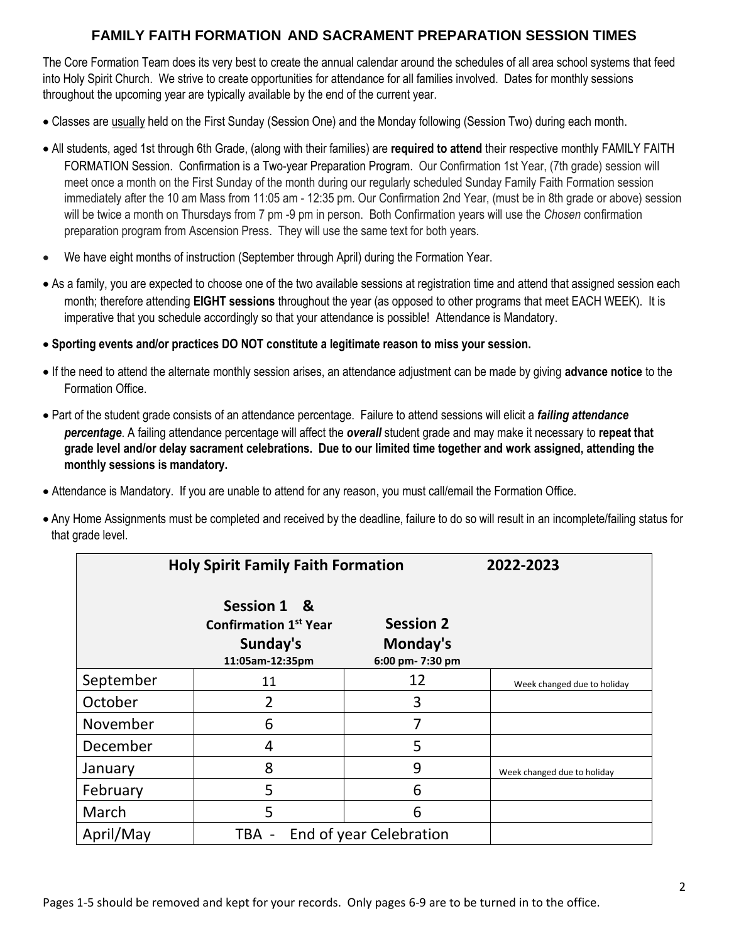#### **FAMILY FAITH FORMATION AND SACRAMENT PREPARATION SESSION TIMES**

The Core Formation Team does its very best to create the annual calendar around the schedules of all area school systems that feed into Holy Spirit Church. We strive to create opportunities for attendance for all families involved. Dates for monthly sessions throughout the upcoming year are typically available by the end of the current year.

- Classes are usually held on the First Sunday (Session One) and the Monday following (Session Two) during each month.
- All students, aged 1st through 6th Grade, (along with their families) are **required to attend** their respective monthly FAMILY FAITH FORMATION Session. Confirmation is a Two-year Preparation Program. Our Confirmation 1st Year, (7th grade) session will meet once a month on the First Sunday of the month during our regularly scheduled Sunday Family Faith Formation session immediately after the 10 am Mass from 11:05 am - 12:35 pm. Our Confirmation 2nd Year, (must be in 8th grade or above) session will be twice a month on Thursdays from 7 pm -9 pm in person. Both Confirmation years will use the *Chosen* confirmation preparation program from Ascension Press. They will use the same text for both years.
- We have eight months of instruction (September through April) during the Formation Year.
- As a family, you are expected to choose one of the two available sessions at registration time and attend that assigned session each month; therefore attending **EIGHT sessions** throughout the year (as opposed to other programs that meet EACH WEEK). It is imperative that you schedule accordingly so that your attendance is possible! Attendance is Mandatory.
- **Sporting events and/or practices DO NOT constitute a legitimate reason to miss your session.**
- If the need to attend the alternate monthly session arises, an attendance adjustment can be made by giving **advance notice** to the Formation Office.
- Part of the student grade consists of an attendance percentage. Failure to attend sessions will elicit a *failing attendance percentage*. A failing attendance percentage will affect the *overall* student grade and may make it necessary to **repeat that grade level and/or delay sacrament celebrations. Due to our limited time together and work assigned, attending the monthly sessions is mandatory.**
- Attendance is Mandatory. If you are unable to attend for any reason, you must call/email the Formation Office.
- Any Home Assignments must be completed and received by the deadline, failure to do so will result in an incomplete/failing status for that grade level.

|           | <b>Holy Spirit Family Faith Formation</b>                                  | 2022-2023                                        |                             |
|-----------|----------------------------------------------------------------------------|--------------------------------------------------|-----------------------------|
|           | Session 1 &<br><b>Confirmation 1st Year</b><br>Sunday's<br>11:05am-12:35pm | <b>Session 2</b><br>Monday's<br>6:00 pm- 7:30 pm |                             |
| September | 11                                                                         | 12                                               | Week changed due to holiday |
| October   | 2                                                                          | 3                                                |                             |
| November  | 6                                                                          | 7                                                |                             |
| December  | 4                                                                          | 5                                                |                             |
| January   | 8                                                                          | 9                                                | Week changed due to holiday |
| February  | 5                                                                          | 6                                                |                             |
| March     | 5                                                                          | 6                                                |                             |
| April/May | End of year Celebration<br>TBA -                                           |                                                  |                             |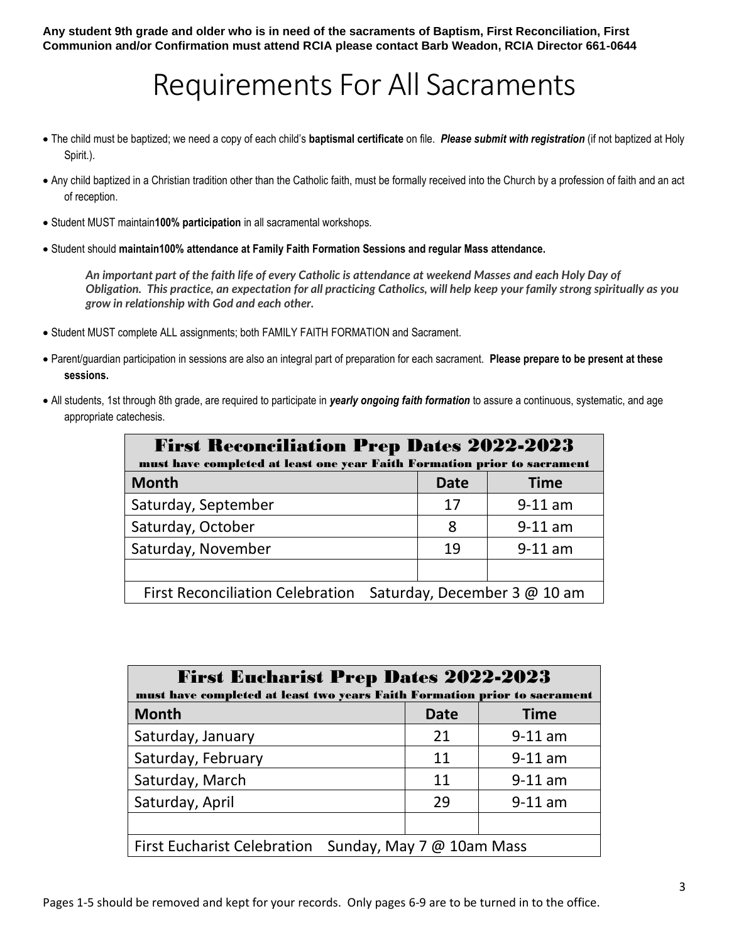**Any student 9th grade and older who is in need of the sacraments of Baptism, First Reconciliation, First Communion and/or Confirmation must attend RCIA please contact Barb Weadon, RCIA Director 661-0644**

### Requirements For All Sacraments

- The child must be baptized; we need a copy of each child's **baptismal certificate** on file. *Please submit with registration* (if not baptized at Holy Spirit.).
- Any child baptized in a Christian tradition other than the Catholic faith, must be formally received into the Church by a profession of faith and an act of reception.
- Student MUST maintain**100% participation** in all sacramental workshops.
- Student should **maintain100% attendance at Family Faith Formation Sessions and regular Mass attendance.**

*An important part of the faith life of every Catholic is attendance at weekend Masses and each Holy Day of Obligation. This practice, an expectation for all practicing Catholics, will help keep your family strong spiritually as you grow in relationship with God and each other.*

- Student MUST complete ALL assignments; both FAMILY FAITH FORMATION and Sacrament.
- Parent/guardian participation in sessions are also an integral part of preparation for each sacrament. **Please prepare to be present at these sessions.**
- All students, 1st through 8th grade, are required to participate in *yearly ongoing faith formation* to assure a continuous, systematic, and age appropriate catechesis.

| <b>First Reconciliation Prep Dates 2022-2023</b><br>must have completed at least one year Faith Formation prior to sacrament |             |             |  |  |
|------------------------------------------------------------------------------------------------------------------------------|-------------|-------------|--|--|
| <b>Month</b>                                                                                                                 | <b>Date</b> | <b>Time</b> |  |  |
| Saturday, September                                                                                                          | 17          | $9-11$ am   |  |  |
| Saturday, October                                                                                                            | 8           | $9-11$ am   |  |  |
| Saturday, November                                                                                                           | 19          | $9-11$ am   |  |  |
|                                                                                                                              |             |             |  |  |
| First Reconciliation Celebration Saturday, December 3 @ 10 am                                                                |             |             |  |  |

| <b>First Eucharist Prep Dates 2022-2023</b><br>must have completed at least two years Faith Formation prior to sacrament |             |             |  |  |
|--------------------------------------------------------------------------------------------------------------------------|-------------|-------------|--|--|
| <b>Month</b>                                                                                                             | <b>Date</b> | <b>Time</b> |  |  |
| Saturday, January                                                                                                        | 21          | $9-11$ am   |  |  |
| Saturday, February                                                                                                       | 11          | $9-11$ am   |  |  |
| Saturday, March                                                                                                          | 11          | $9-11$ am   |  |  |
| Saturday, April                                                                                                          | 29          | $9-11$ am   |  |  |
|                                                                                                                          |             |             |  |  |
| <b>First Eucharist Celebration</b><br>Sunday, May 7 @ 10am Mass                                                          |             |             |  |  |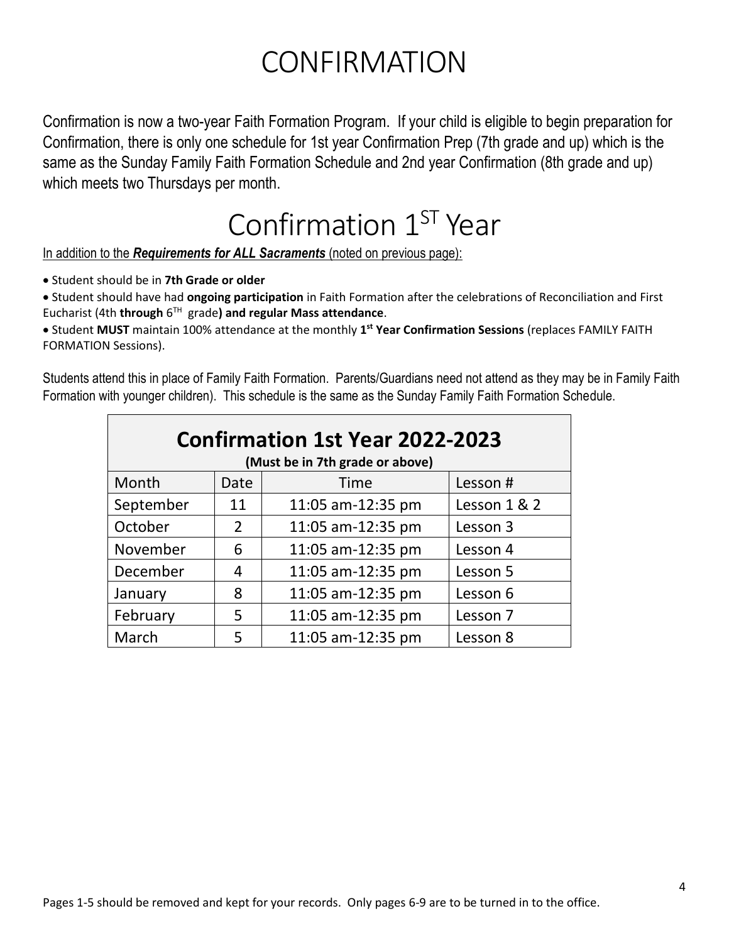## **CONFIRMATION**

Confirmation is now a two-year Faith Formation Program. If your child is eligible to begin preparation for Confirmation, there is only one schedule for 1st year Confirmation Prep (7th grade and up) which is the same as the Sunday Family Faith Formation Schedule and 2nd year Confirmation (8th grade and up) which meets two Thursdays per month.

### Confirmation 1<sup>ST</sup> Year

In addition to the *Requirements for ALL Sacraments* (noted on previous page):

• Student should be in **7th Grade or older** 

• Student should have had **ongoing participation** in Faith Formation after the celebrations of Reconciliation and First Eucharist (4th **through** 6 TH grade**) and regular Mass attendance**.

• Student **MUST** maintain 100% attendance at the monthly **1 st Year Confirmation Sessions** (replaces FAMILY FAITH FORMATION Sessions).

Students attend this in place of Family Faith Formation. Parents/Guardians need not attend as they may be in Family Faith Formation with younger children). This schedule is the same as the Sunday Family Faith Formation Schedule.

| <b>Confirmation 1st Year 2022-2023</b><br>(Must be in 7th grade or above) |      |                   |              |  |  |
|---------------------------------------------------------------------------|------|-------------------|--------------|--|--|
| Month                                                                     | Date | Time              | Lesson#      |  |  |
| September                                                                 | 11   | 11:05 am-12:35 pm | Lesson 1 & 2 |  |  |
| October                                                                   | 2    | 11:05 am-12:35 pm | Lesson 3     |  |  |
| November                                                                  | 6    | 11:05 am-12:35 pm | Lesson 4     |  |  |
| December                                                                  | 4    | 11:05 am-12:35 pm | Lesson 5     |  |  |
| January                                                                   | 8    | 11:05 am-12:35 pm | Lesson 6     |  |  |
| February                                                                  | 5    | 11:05 am-12:35 pm | Lesson 7     |  |  |
| March                                                                     | 5    | 11:05 am-12:35 pm | Lesson 8     |  |  |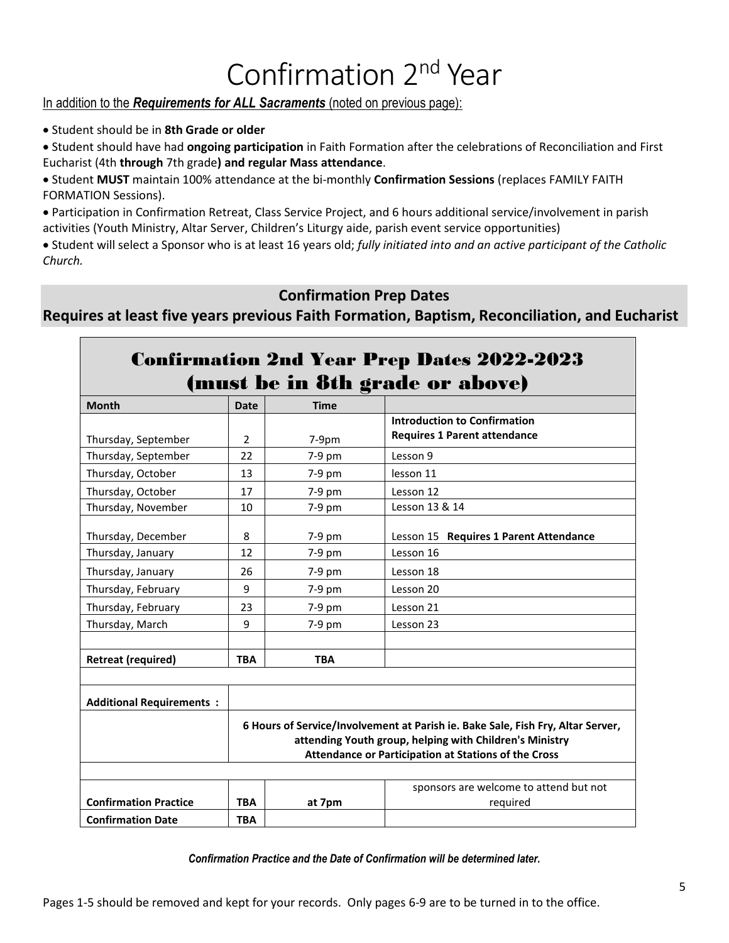# Confirmation 2<sup>nd</sup> Year

#### In addition to the *Requirements for ALL Sacraments* (noted on previous page):

• Student should be in **8th Grade or older** 

• Student should have had **ongoing participation** in Faith Formation after the celebrations of Reconciliation and First Eucharist (4th **through** 7th grade**) and regular Mass attendance**.

• Student **MUST** maintain 100% attendance at the bi-monthly **Confirmation Sessions** (replaces FAMILY FAITH FORMATION Sessions).

• Participation in Confirmation Retreat, Class Service Project, and 6 hours additional service/involvement in parish activities (Youth Ministry, Altar Server, Children's Liturgy aide, parish event service opportunities)

• Student will select a Sponsor who is at least 16 years old; *fully initiated into and an active participant of the Catholic Church.*

#### **Confirmation Prep Dates**

**Requires at least five years previous Faith Formation, Baptism, Reconciliation, and Eucharist**

|                                 |                |             | <b>Confirmation 2nd Year Prep Dates 2022-2023</b>                               |
|---------------------------------|----------------|-------------|---------------------------------------------------------------------------------|
|                                 |                |             | (must be in 8th grade or above)                                                 |
| <b>Month</b>                    | <b>Date</b>    | <b>Time</b> |                                                                                 |
|                                 |                |             | <b>Introduction to Confirmation</b>                                             |
| Thursday, September             | $\overline{2}$ | $7-9pm$     | <b>Requires 1 Parent attendance</b>                                             |
| Thursday, September             | 22             | $7-9$ pm    | Lesson 9                                                                        |
| Thursday, October               | 13             | 7-9 pm      | lesson 11                                                                       |
| Thursday, October               | 17             | $7-9$ pm    | Lesson 12                                                                       |
| Thursday, November              | 10             | 7-9 pm      | Lesson 13 & 14                                                                  |
| Thursday, December              | 8              | 7-9 pm      | Lesson 15 Requires 1 Parent Attendance                                          |
| Thursday, January               | 12             | 7-9 pm      | Lesson 16                                                                       |
| Thursday, January               | 26             | $7-9$ pm    | Lesson 18                                                                       |
| Thursday, February              | 9              | 7-9 pm      | Lesson 20                                                                       |
| Thursday, February              | 23             | 7-9 pm      | Lesson 21                                                                       |
| Thursday, March                 | 9              | 7-9 pm      | Lesson 23                                                                       |
|                                 |                |             |                                                                                 |
| <b>Retreat (required)</b>       | <b>TBA</b>     | <b>TBA</b>  |                                                                                 |
|                                 |                |             |                                                                                 |
| <b>Additional Requirements:</b> |                |             |                                                                                 |
|                                 |                |             | 6 Hours of Service/Involvement at Parish ie. Bake Sale, Fish Fry, Altar Server, |
|                                 |                |             | attending Youth group, helping with Children's Ministry                         |
|                                 |                |             | Attendance or Participation at Stations of the Cross                            |
|                                 |                |             |                                                                                 |
|                                 |                |             | sponsors are welcome to attend but not                                          |
| <b>Confirmation Practice</b>    | TBA            | at 7pm      | required                                                                        |
| <b>Confirmation Date</b>        | <b>TBA</b>     |             |                                                                                 |

*Confirmation Practice and the Date of Confirmation will be determined later.*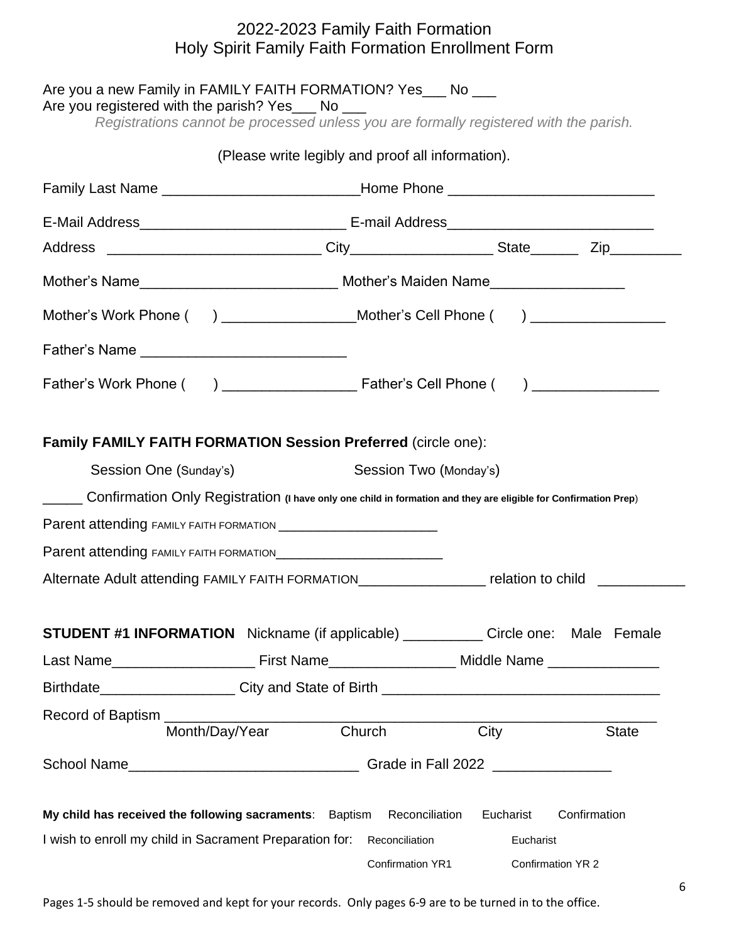#### 2022-2023 Family Faith Formation Holy Spirit Family Faith Formation Enrollment Form

|                        | Are you a new Family in FAMILY FAITH FORMATION? Yes ___ No ___<br>Are you registered with the parish? Yes___ No ___<br>Registrations cannot be processed unless you are formally registered with the parish. |                        |           |                   |  |
|------------------------|--------------------------------------------------------------------------------------------------------------------------------------------------------------------------------------------------------------|------------------------|-----------|-------------------|--|
|                        | (Please write legibly and proof all information).                                                                                                                                                            |                        |           |                   |  |
|                        | Family Last Name _____________________________Home Phone _______________________                                                                                                                             |                        |           |                   |  |
|                        |                                                                                                                                                                                                              |                        |           |                   |  |
|                        |                                                                                                                                                                                                              |                        |           |                   |  |
|                        | Mother's Name___________________________________ Mother's Maiden Name__________________                                                                                                                      |                        |           |                   |  |
|                        | Mother's Work Phone ( ) __________________Mother's Cell Phone ( ) ______________                                                                                                                             |                        |           |                   |  |
|                        |                                                                                                                                                                                                              |                        |           |                   |  |
|                        |                                                                                                                                                                                                              |                        |           |                   |  |
|                        | <b>Family FAMILY FAITH FORMATION Session Preferred (circle one):</b>                                                                                                                                         |                        |           |                   |  |
| Session One (Sunday's) |                                                                                                                                                                                                              | Session Two (Monday's) |           |                   |  |
|                        | _____ Confirmation Only Registration (I have only one child in formation and they are eligible for Confirmation Prep)                                                                                        |                        |           |                   |  |
|                        |                                                                                                                                                                                                              |                        |           |                   |  |
|                        |                                                                                                                                                                                                              |                        |           |                   |  |
|                        | Alternate Adult attending FAMILY FAITH FORMATION______________________ relation to child _________                                                                                                           |                        |           |                   |  |
|                        | <b>STUDENT #1 INFORMATION</b> Nickname (if applicable) ____________ Circle one: Male Female                                                                                                                  |                        |           |                   |  |
|                        |                                                                                                                                                                                                              |                        |           |                   |  |
|                        |                                                                                                                                                                                                              |                        |           |                   |  |
|                        | Month/Day/Year                                                                                                                                                                                               | Church                 | City      | <b>State</b>      |  |
|                        |                                                                                                                                                                                                              |                        |           |                   |  |
|                        | My child has received the following sacraments: Baptism                                                                                                                                                      | Reconciliation         | Eucharist | Confirmation      |  |
|                        | I wish to enroll my child in Sacrament Preparation for:                                                                                                                                                      | Reconciliation         | Eucharist |                   |  |
|                        |                                                                                                                                                                                                              | Confirmation YR1       |           | Confirmation YR 2 |  |

Pages 1-5 should be removed and kept for your records. Only pages 6-9 are to be turned in to the office.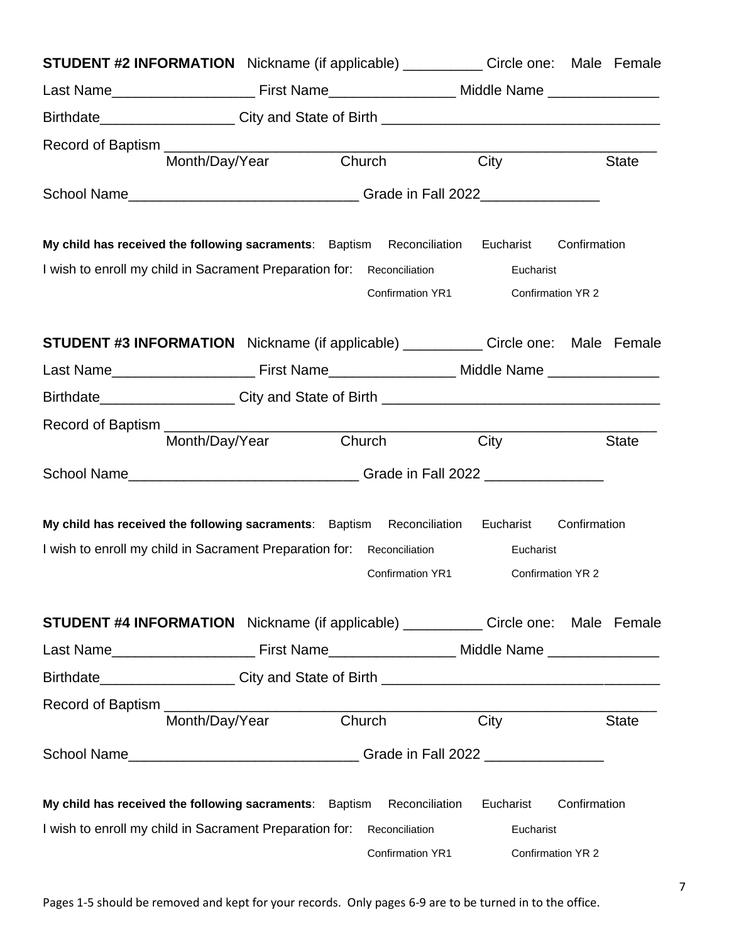|                                                                                               | <b>STUDENT #2 INFORMATION</b> Nickname (if applicable) ____________ Circle one: Male Female |                       |        |                  |           |                   |              |
|-----------------------------------------------------------------------------------------------|---------------------------------------------------------------------------------------------|-----------------------|--------|------------------|-----------|-------------------|--------------|
|                                                                                               |                                                                                             |                       |        |                  |           |                   |              |
|                                                                                               |                                                                                             |                       |        |                  |           |                   |              |
| Record of Baptism __________                                                                  |                                                                                             |                       |        |                  |           |                   |              |
|                                                                                               |                                                                                             | Month/Day/Year Church |        |                  | City      |                   | <b>State</b> |
| School Name___________________________________Grade in Fall 2022________________              |                                                                                             |                       |        |                  |           |                   |              |
| My child has received the following sacraments: Baptism Reconciliation Eucharist Confirmation |                                                                                             |                       |        |                  |           |                   |              |
| I wish to enroll my child in Sacrament Preparation for: Reconciliation                        |                                                                                             |                       |        |                  | Eucharist |                   |              |
|                                                                                               |                                                                                             |                       |        | Confirmation YR1 |           | Confirmation YR 2 |              |
| <b>STUDENT #3 INFORMATION</b> Nickname (if applicable) ____________ Circle one: Male Female   |                                                                                             |                       |        |                  |           |                   |              |
|                                                                                               |                                                                                             |                       |        |                  |           |                   |              |
| Birthdate_____________________City and State of Birth ___________________________             |                                                                                             |                       |        |                  |           |                   |              |
|                                                                                               |                                                                                             |                       |        |                  |           |                   |              |
|                                                                                               | Month/Day/Year                                                                              |                       | Church |                  | City      |                   | <b>State</b> |
| School Name__________________________________Grade in Fall 2022 ________________              |                                                                                             |                       |        |                  |           |                   |              |
| My child has received the following sacraments: Baptism Reconciliation                        |                                                                                             |                       |        |                  | Eucharist | Confirmation      |              |
| I wish to enroll my child in Sacrament Preparation for: Reconciliation                        |                                                                                             |                       |        |                  | Eucharist |                   |              |
|                                                                                               |                                                                                             |                       |        | Confirmation YR1 |           | Confirmation YR 2 |              |
| <b>STUDENT #4 INFORMATION</b> Nickname (if applicable) ____________ Circle one: Male Female   |                                                                                             |                       |        |                  |           |                   |              |
|                                                                                               |                                                                                             |                       |        |                  |           |                   |              |
|                                                                                               |                                                                                             |                       |        |                  |           |                   |              |
|                                                                                               |                                                                                             |                       |        |                  |           |                   |              |
|                                                                                               | Month/Day/Year                                                                              |                       | Church |                  | City      |                   | <b>State</b> |
| School Name___________________________________Grade in Fall 2022 _______________              |                                                                                             |                       |        |                  |           |                   |              |
| My child has received the following sacraments: Baptism Reconciliation                        |                                                                                             |                       |        |                  | Eucharist | Confirmation      |              |
| I wish to enroll my child in Sacrament Preparation for: Reconciliation                        |                                                                                             |                       |        |                  | Eucharist |                   |              |
|                                                                                               |                                                                                             |                       |        | Confirmation YR1 |           | Confirmation YR 2 |              |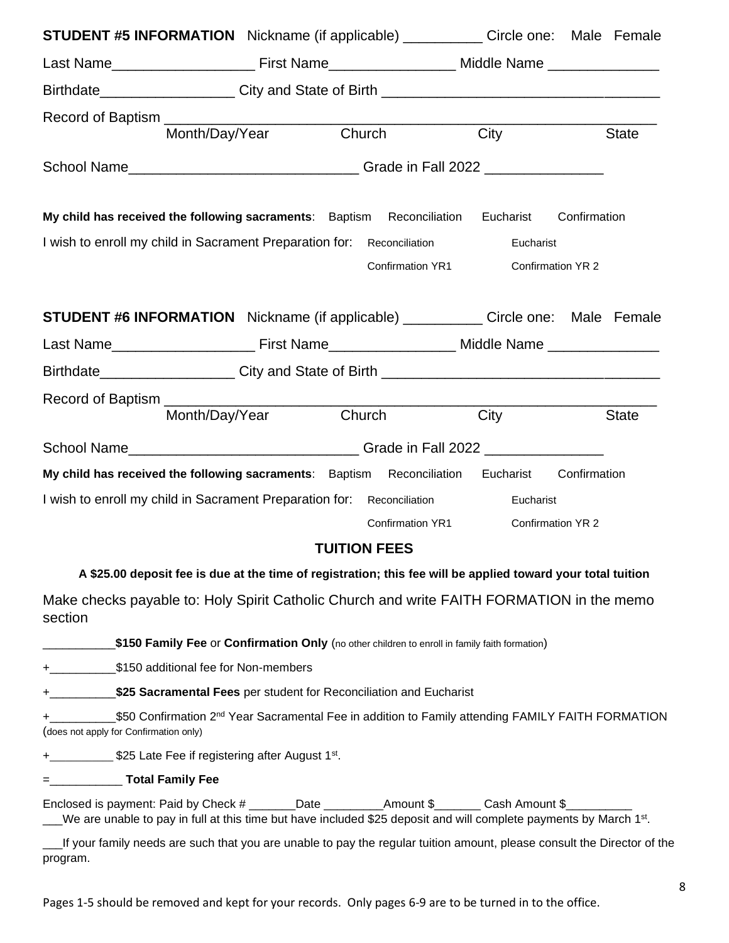| <b>STUDENT #5 INFORMATION</b> Nickname (if applicable) ____________ Circle one: Male Female                                                                                                                                             |                       |                     |                   |              |
|-----------------------------------------------------------------------------------------------------------------------------------------------------------------------------------------------------------------------------------------|-----------------------|---------------------|-------------------|--------------|
|                                                                                                                                                                                                                                         |                       |                     |                   |              |
|                                                                                                                                                                                                                                         |                       |                     |                   |              |
|                                                                                                                                                                                                                                         |                       |                     |                   |              |
|                                                                                                                                                                                                                                         | Month/Day/Year Church |                     | City              | <b>State</b> |
| School Name___________________________________Grade in Fall 2022 _______________                                                                                                                                                        |                       |                     |                   |              |
| My child has received the following sacraments: Baptism Reconciliation Eucharist                                                                                                                                                        |                       |                     |                   | Confirmation |
| I wish to enroll my child in Sacrament Preparation for: Reconciliation                                                                                                                                                                  |                       |                     | Eucharist         |              |
|                                                                                                                                                                                                                                         |                       | Confirmation YR1    | Confirmation YR 2 |              |
| <b>STUDENT #6 INFORMATION</b> Nickname (if applicable) ____________ Circle one: Male Female                                                                                                                                             |                       |                     |                   |              |
|                                                                                                                                                                                                                                         |                       |                     |                   |              |
| Birthdate___________________City and State of Birth ____________________________                                                                                                                                                        |                       |                     |                   |              |
| Record of Baptism                                                                                                                                                                                                                       |                       |                     |                   |              |
|                                                                                                                                                                                                                                         | Month/Day/Year Church |                     | City              | <b>State</b> |
| School Name___________________________________Grade in Fall 2022 _______________                                                                                                                                                        |                       |                     |                   |              |
| My child has received the following sacraments: Baptism Reconciliation Eucharist Confirmation                                                                                                                                           |                       |                     |                   |              |
| I wish to enroll my child in Sacrament Preparation for: Reconciliation                                                                                                                                                                  |                       |                     | Eucharist         |              |
|                                                                                                                                                                                                                                         |                       | Confirmation YR1    | Confirmation YR 2 |              |
|                                                                                                                                                                                                                                         |                       | <b>TUITION FEES</b> |                   |              |
| A \$25.00 deposit fee is due at the time of registration; this fee will be applied toward your total tuition                                                                                                                            |                       |                     |                   |              |
| Make checks payable to: Holy Spirit Catholic Church and write FAITH FORMATION in the memo<br>section                                                                                                                                    |                       |                     |                   |              |
| \$150 Family Fee or Confirmation Only (no other children to enroll in family faith formation)                                                                                                                                           |                       |                     |                   |              |
| + \$150 additional fee for Non-members                                                                                                                                                                                                  |                       |                     |                   |              |
| <b>+</b> ______________\$25 Sacramental Fees per student for Reconciliation and Eucharist                                                                                                                                               |                       |                     |                   |              |
| \$50 Confirmation 2 <sup>nd</sup> Year Sacramental Fee in addition to Family attending FAMILY FAITH FORMATION<br>(does not apply for Confirmation only)                                                                                 |                       |                     |                   |              |
| +______________\$25 Late Fee if registering after August 1 <sup>st</sup> .                                                                                                                                                              |                       |                     |                   |              |
| $=$ Total Family Fee                                                                                                                                                                                                                    |                       |                     |                   |              |
| Enclosed is payment: Paid by Check # _______Date __________Amount \$________Cash Amount \$___________<br>We are unable to pay in full at this time but have included \$25 deposit and will complete payments by March 1 <sup>st</sup> . |                       |                     |                   |              |
| If your family needs are such that you are unable to pay the regular tuition amount, please consult the Director of the<br>program.                                                                                                     |                       |                     |                   |              |

Pages 1-5 should be removed and kept for your records. Only pages 6-9 are to be turned in to the office.